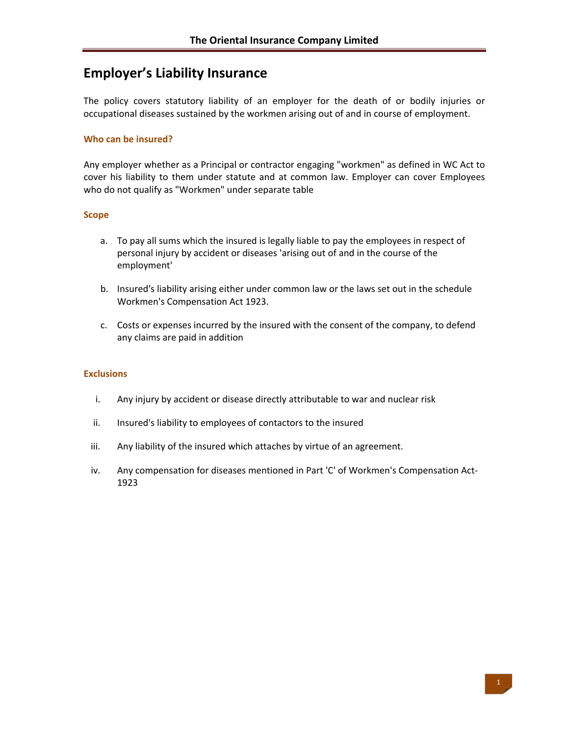# **Employer's Liability Insurance**

The policy covers statutory liability of an employer for the death of or bodily injuries or occupational diseases sustained by the workmen arising out of and in course of employment.

### **Who can be insured?**

Any employer whether as a Principal or contractor engaging "workmen" as defined in WC Act to cover his liability to them under statute and at common law. Employer can cover Employees who do not qualify as "Workmen" under separate table

### **Scope**

- a. To pay all sums which the insured is legally liable to pay the employees in respect of personal injury by accident or diseases 'arising out of and in the course of the employment'
- b. Insured's liability arising either under common law or the laws set out in the schedule Workmen's Compensation Act 1923.
- c. Costs or expenses incurred by the insured with the consent of the company, to defend any claims are paid in addition

### **Exclusions**

- i. Any injury by accident or disease directly attributable to war and nuclear risk
- ii. Insured's liability to employees of contactors to the insured
- iii. Any liability of the insured which attaches by virtue of an agreement.
- iv. Any compensation for diseases mentioned in Part 'C' of Workmen's Compensation Act-1923